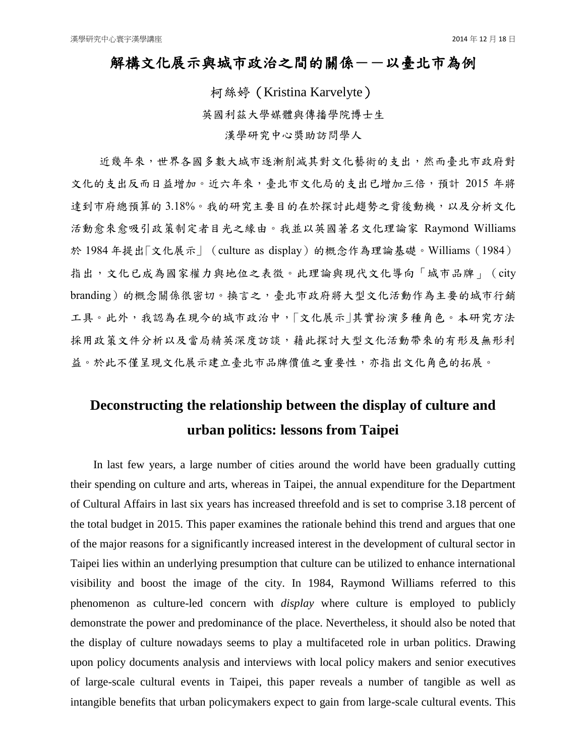## 解構文化展示與城市政治之間的關係--以臺北市為例

柯絲婷(Kristina Karvelyte) 英國利茲大學媒體與傳播學院博士生 漢學研究中心獎助訪問學人

近幾年來,世界各國多數大城市逐漸削減其對文化藝術的支出,然而臺北市政府對 文化的支出反而日益增加。近六年來,臺北市文化局的支出已增加三倍,預計 2015 年將 達到市府總預算的 3.18%。我的研究主要目的在於探討此趨勢之背後動機,以及分析文化 活動愈來愈吸引政策制定者目光之緣由。我並以英國著名文化理論家 Raymond Williams 於 1984年提出「文化展示」 (culture as display) 的概念作為理論基礎。Williams (1984) 指出,文化已成為國家權力與地位之表徵。此理論與現代文化導向「城市品牌」(city branding)的概念關係很密切。換言之,臺北市政府將大型文化活動作為主要的城市行銷 工具。此外,我認為在現今的城市政治中,「文化展示」其實扮演多種角色。本研究方法 採用政策文件分析以及當局精英深度訪談,藉此探討大型文化活動帶來的有形及無形利 益。於此不僅呈現文化展示建立臺北市品牌價值之重要性,亦指出文化角色的拓展。

## **Deconstructing the relationship between the display of culture and urban politics: lessons from Taipei**

In last few years, a large number of cities around the world have been gradually cutting their spending on culture and arts, whereas in Taipei, the annual expenditure for the Department of Cultural Affairs in last six years has increased threefold and is set to comprise 3.18 percent of the total budget in 2015. This paper examines the rationale behind this trend and argues that one of the major reasons for a significantly increased interest in the development of cultural sector in Taipei lies within an underlying presumption that culture can be utilized to enhance international visibility and boost the image of the city. In 1984, Raymond Williams referred to this phenomenon as culture-led concern with *display* where culture is employed to publicly demonstrate the power and predominance of the place. Nevertheless, it should also be noted that the display of culture nowadays seems to play a multifaceted role in urban politics. Drawing upon policy documents analysis and interviews with local policy makers and senior executives of large-scale cultural events in Taipei, this paper reveals a number of tangible as well as intangible benefits that urban policymakers expect to gain from large-scale cultural events. This